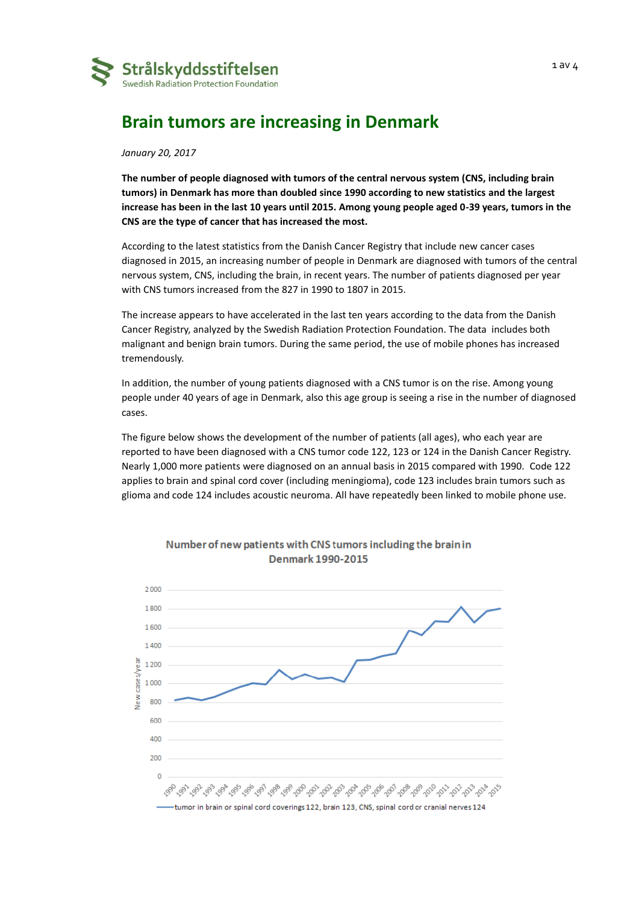

## **Brain tumors are increasing in Denmark**

*January 20, 2017*

**The number of people diagnosed with tumors of the central nervous system (CNS, including brain tumors) in Denmark has more than doubled since 1990 according to new statistics and the largest increase has been in the last 10 years until 2015. Among young people aged 0-39 years, tumors in the CNS are the type of cancer that has increased the most.** 

According to the latest statistics from the Danish Cancer Registry that include new cancer cases diagnosed in 2015, an increasing number of people in Denmark are diagnosed with tumors of the central nervous system, CNS, including the brain, in recent years. The number of patients diagnosed per year with CNS tumors increased from the 827 in 1990 to 1807 in 2015.

The increase appears to have accelerated in the last ten years according to the data from the Danish Cancer Registry, analyzed by the Swedish Radiation Protection Foundation. The data includes both malignant and benign brain tumors. During the same period, the use of mobile phones has increased tremendously.

In addition, the number of young patients diagnosed with a CNS tumor is on the rise. Among young people under 40 years of age in Denmark, also this age group is seeing a rise in the number of diagnosed cases.

The figure below shows the development of the number of patients (all ages), who each year are reported to have been diagnosed with a CNS tumor code 122, 123 or 124 in the Danish Cancer Registry. Nearly 1,000 more patients were diagnosed on an annual basis in 2015 compared with 1990. Code 122 applies to brain and spinal cord cover (including meningioma), code 123 includes brain tumors such as glioma and code 124 includes acoustic neuroma. All have repeatedly been linked to mobile phone use.



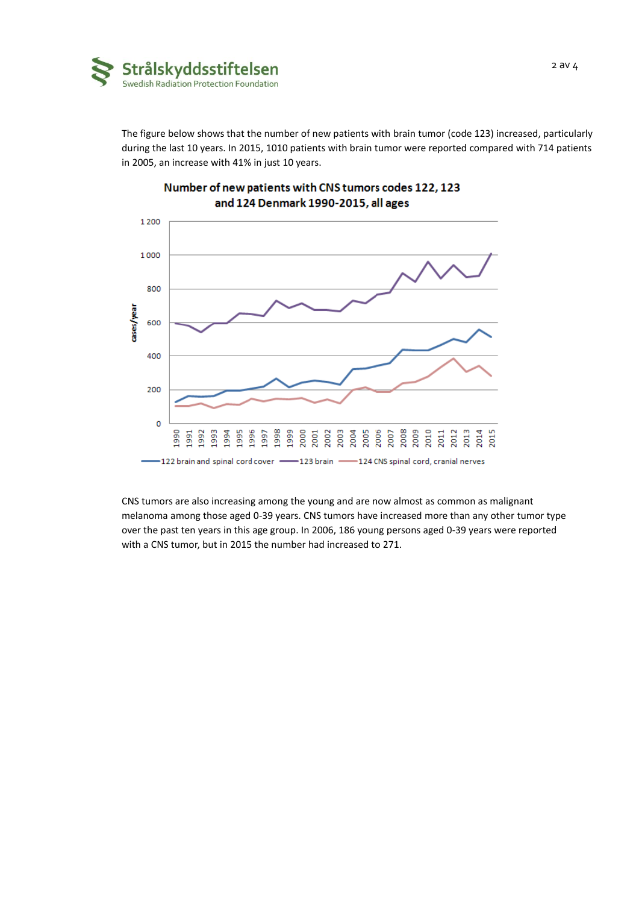

The figure below shows that the number of new patients with brain tumor (code 123) increased, particularly during the last 10 years. In 2015, 1010 patients with brain tumor were reported compared with 714 patients in 2005, an increase with 41% in just 10 years.



## Number of new patients with CNS tumors codes 122, 123 and 124 Denmark 1990-2015, all ages

CNS tumors are also increasing among the young and are now almost as common as malignant melanoma among those aged 0-39 years. CNS tumors have increased more than any other tumor type over the past ten years in this age group. In 2006, 186 young persons aged 0-39 years were reported with a CNS tumor, but in 2015 the number had increased to 271.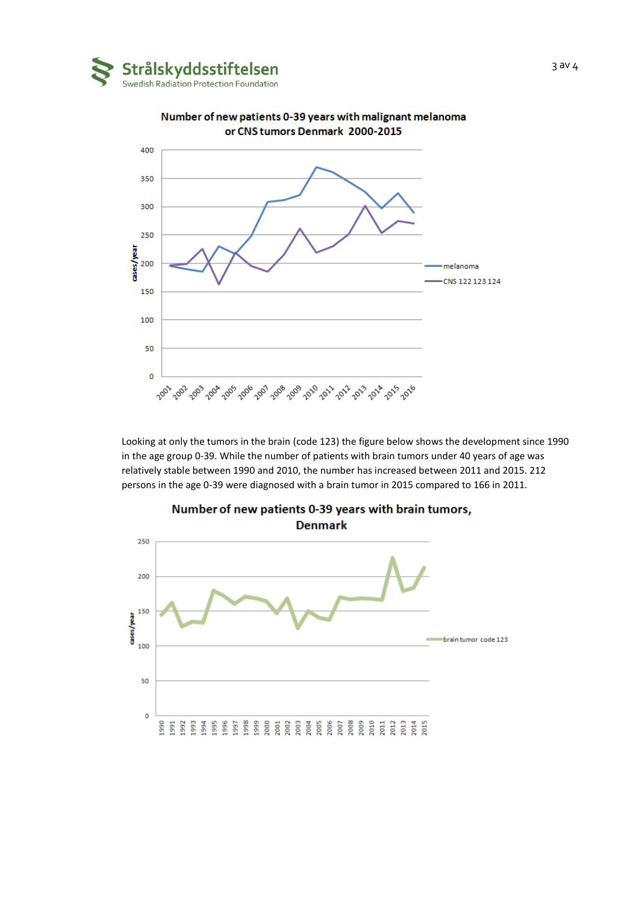



Number of new patients 0-39 years with malignant melanoma or CNS tumors Denmark 2000-2015

Looking at only the tumors in the brain (code 123) the figure below shows the development since 1990 in the age group 0-39. While the number of patients with brain tumors under 40 years of age was relatively stable between 1990 and 2010, the number has increased between 2011 and 2015. 212 persons in the age 0-39 were diagnosed with a brain tumor in 2015 compared to 166 in 2011.



Number of new patients 0-39 years with brain tumors,